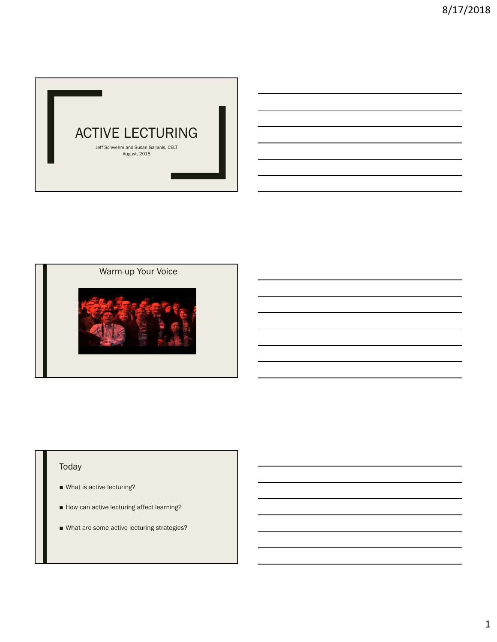

## Warm-up Your Voice



## Today

- What is active lecturing?
- How can active lecturing affect learning?
- What are some active lecturing strategies?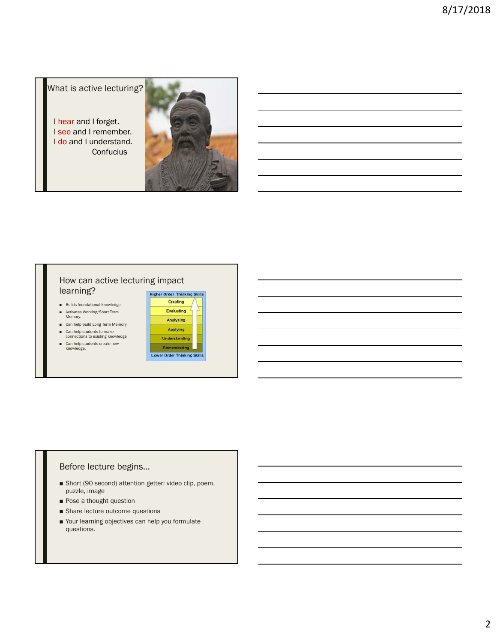What is active lecturing?

I hear and I forget. I see and I remember. I do and I understand. **Confucius** 



#### How can active lecturing impact learning?

- Builds foundational knowledge.
- Activates Working/Short Term<br>Memory.
- Can help build Long Term Memory.
- Can help students to make<br>connections to existing knowledge
- Can help students create new<br>knowledge.



#### Before lecture begins…

- Short (90 second) attention getter: video clip, poem, puzzle, image
- Pose a thought question
- Share lecture outcome questions
- Your learning objectives can help you formulate questions.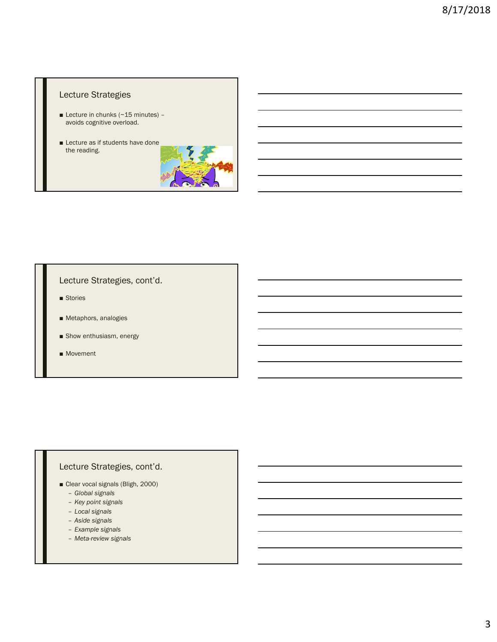## Lecture Strategies

- **Lecture in chunks (** $\sim$  **15 minutes)** avoids cognitive overload.
- Lecture as if students have done the reading.



## Lecture Strategies, cont'd.

- Stories
- Metaphors, analogies
- Show enthusiasm, energy
- Movement

# Lecture Strategies, cont'd.

- Clear vocal signals (Bligh, 2000)
	- *Global signals*
	- *Key point signals*
	- *Local signals*
	- *Aside signals*
	- *Example signals*
	- *Meta-review signals*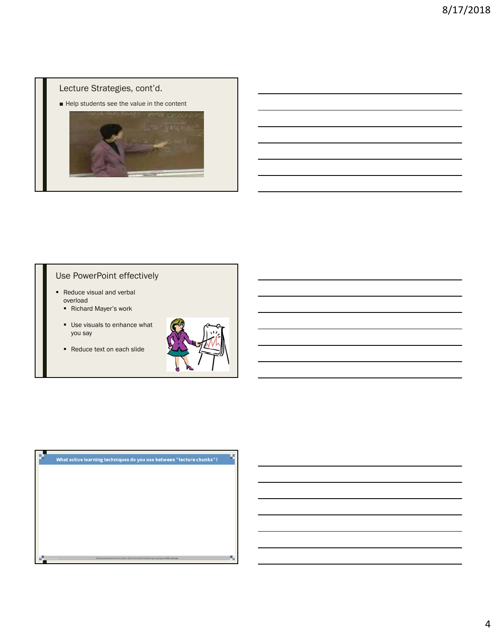## Lecture Strategies, cont'd.

■ Help students see the value in the content



# Use PowerPoint effectively

- Reduce visual and verbal overload
	- Richard Mayer's work
	- Use visuals to enhance what you say
	- Reduce text on each slide



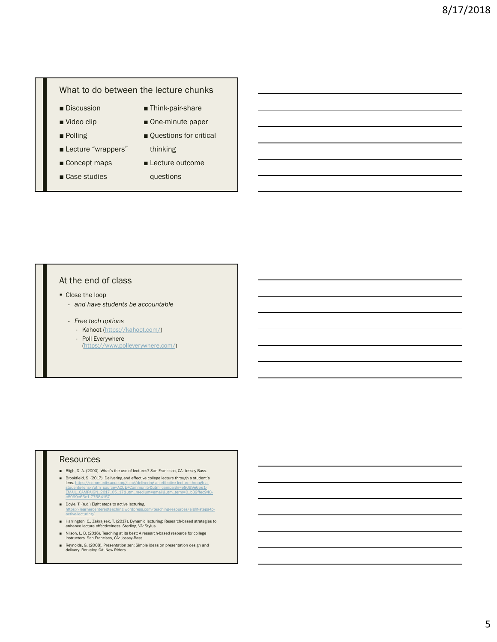#### What to do between the lecture chunks

- Discussion
- Video clip
- Polling
- Lecture "wrappers"
- Concept maps
- Case studies
- Think-pair-share
- One-minute paper
- Questions for critical thinking
- Lecture outcome

questions

### At the end of class

- Close the loop
	- *and have students be accountable*
	- *Free tech options*
		- Kahoot (https://kahoot.com/)
		- Poll Everywhere (https://www.polleverywhere.com/)

#### Resources

- Bligh, D. A. (2000). What's the use of lectures? San Francisco, CA: Jossey-Bass.
- Brookfield, S. (2017). Delivering and effective college lecture through a student's lens. https://community.acue.org/blog/delivering-an-effective-lecture-through-al<mark>ens.</mark> https://community.acue.org/blog/delivering-an-effective-lecture-through-a-<br>students-lens/?utm\_source=ACUE+Community&utm\_campaign=e8099e65e1-<br>EMAIL\_CAMPAIGN\_2017\_05\_17&utm\_medium=email&utm\_term=0\_b39ffec948e8099e65e1-77584157
- Doyle, T. (n.d.) Eight steps to active lecturing. /teaching-resources/eight-steps-to active-lecturing/
- Harrington, C., Zakrajsek, T. (2017). Dynamic lecturing: Research-based strategies to enhance lecture effectivelness. Sterling, VA: Stylus.
- Nilson, L. B. (2016). Teaching at its best: A research-based resource for college instructors. San Francisco, CA: Jossey-Bass.
- Reynolds, G. (2008). Presentation zen: Simple ideas on presentation design and delivery. Berkeley, CA: New Riders.